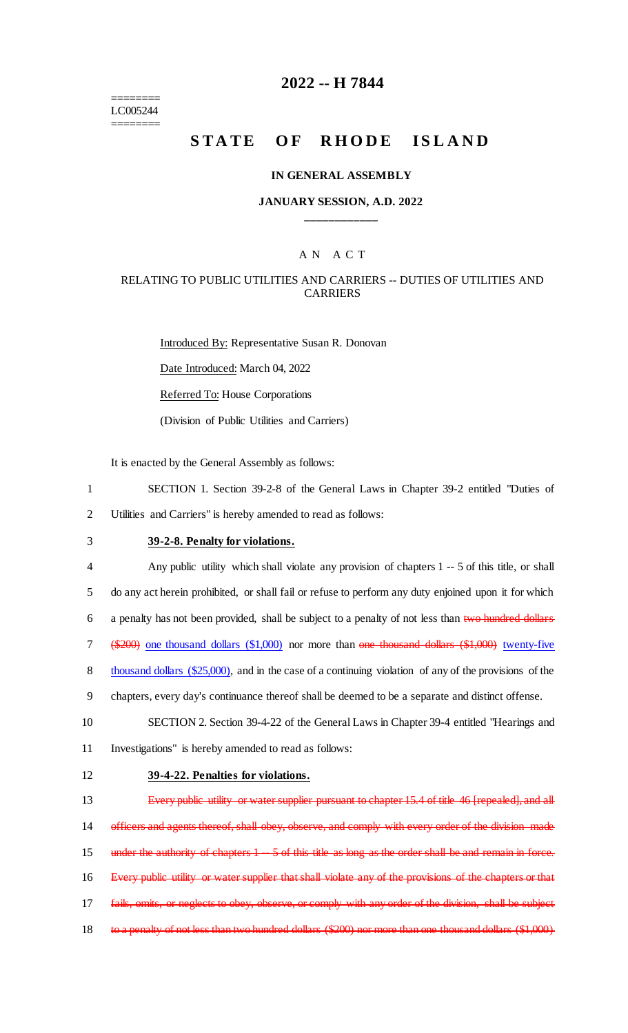======== LC005244 ========

### **2022 -- H 7844**

# **STATE OF RHODE ISLAND**

#### **IN GENERAL ASSEMBLY**

### **JANUARY SESSION, A.D. 2022 \_\_\_\_\_\_\_\_\_\_\_\_**

### A N A C T

### RELATING TO PUBLIC UTILITIES AND CARRIERS -- DUTIES OF UTILITIES AND CARRIERS

Introduced By: Representative Susan R. Donovan Date Introduced: March 04, 2022 Referred To: House Corporations (Division of Public Utilities and Carriers)

It is enacted by the General Assembly as follows:

- 1 SECTION 1. Section 39-2-8 of the General Laws in Chapter 39-2 entitled "Duties of 2 Utilities and Carriers" is hereby amended to read as follows:
- 

## 3 **39-2-8. Penalty for violations.**

 Any public utility which shall violate any provision of chapters 1 -- 5 of this title, or shall do any act herein prohibited, or shall fail or refuse to perform any duty enjoined upon it for which a penalty has not been provided, shall be subject to a penalty of not less than two hundred dollars (\$200) one thousand dollars (\$1,000) nor more than one thousand dollars (\$1,000) twenty-five 8 thousand dollars (\$25,000), and in the case of a continuing violation of any of the provisions of the chapters, every day's continuance thereof shall be deemed to be a separate and distinct offense. SECTION 2. Section 39-4-22 of the General Laws in Chapter 39-4 entitled "Hearings and Investigations" is hereby amended to read as follows: **39-4-22. Penalties for violations.** 13 Every public utility or water supplier pursuant to chapter 15.4 of title 46 [repealed], and all officers and agents thereof, shall obey, observe, and comply with every order of the division made

16 Every public utility or water supplier that shall violate any of the provisions of the chapters or that 17 fails, omits, or neglects to obey, observe, or comply with any order of the division, shall be subject

15 under the authority of chapters 1 -- 5 of this title as long as the order shall be and remain in force.

- 
- 18 to a penalty of not less than two hundred dollars (\$200) nor more than one thousand dollars (\$1,000)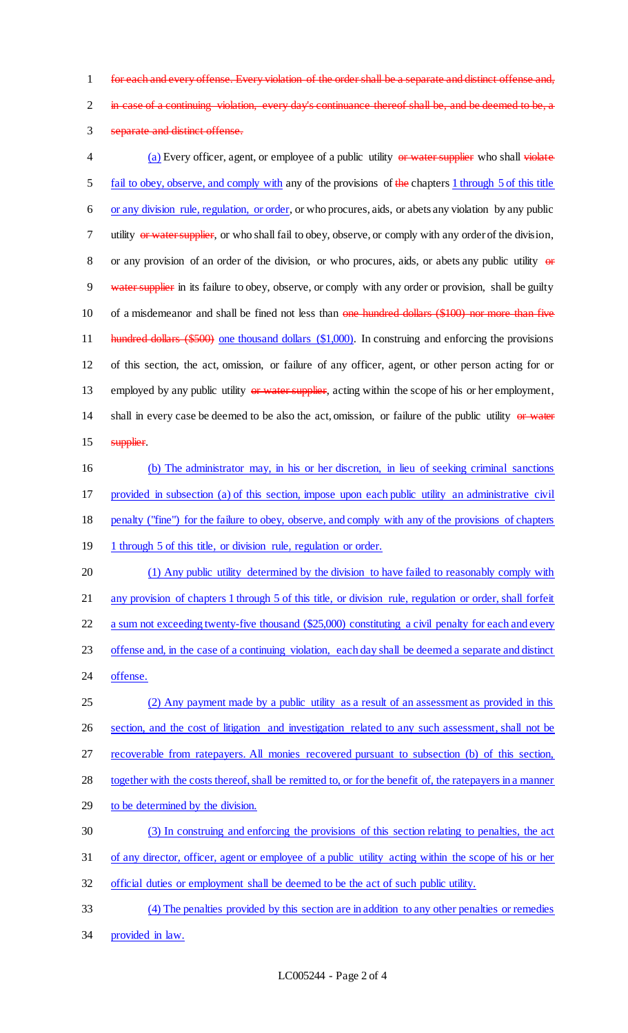for each and every offense. Every violation of the order shall be a separate and distinct offense and,

2 in case of a continuing violation, every day's continuance thereof shall be, and be deemed to be, a

separate and distinct offense.

4 (a) Every officer, agent, or employee of a public utility or water supplier who shall violate fail to obey, observe, and comply with any of the provisions of the chapters 1 through 5 of this title or any division rule, regulation, or order, or who procures, aids, or abets any violation by any public 7 utility or water supplier, or who shall fail to obey, observe, or comply with any order of the division, 8 or any provision of an order of the division, or who procures, aids, or abets any public utility  $\theta$ 9 water supplier in its failure to obey, observe, or comply with any order or provision, shall be guilty 10 of a misdemeanor and shall be fined not less than one hundred dollars (\$100) nor more than five 11 hundred dollars (\$500) one thousand dollars (\$1,000). In construing and enforcing the provisions of this section, the act, omission, or failure of any officer, agent, or other person acting for or 13 employed by any public utility or water supplier, acting within the scope of his or her employment, 14 shall in every case be deemed to be also the act, omission, or failure of the public utility or water 15 supplier. (b) The administrator may, in his or her discretion, in lieu of seeking criminal sanctions provided in subsection (a) of this section, impose upon each public utility an administrative civil penalty ("fine") for the failure to obey, observe, and comply with any of the provisions of chapters 19 1 through 5 of this title, or division rule, regulation or order. (1) Any public utility determined by the division to have failed to reasonably comply with any provision of chapters 1 through 5 of this title, or division rule, regulation or order, shall forfeit 22 a sum not exceeding twenty-five thousand (\$25,000) constituting a civil penalty for each and every offense and, in the case of a continuing violation, each day shall be deemed a separate and distinct offense. (2) Any payment made by a public utility as a result of an assessment as provided in this section, and the cost of litigation and investigation related to any such assessment, shall not be recoverable from ratepayers. All monies recovered pursuant to subsection (b) of this section, together with the costs thereof, shall be remitted to, or for the benefit of, the ratepayers in a manner to be determined by the division. (3) In construing and enforcing the provisions of this section relating to penalties, the act of any director, officer, agent or employee of a public utility acting within the scope of his or her official duties or employment shall be deemed to be the act of such public utility.

 (4) The penalties provided by this section are in addition to any other penalties or remedies provided in law.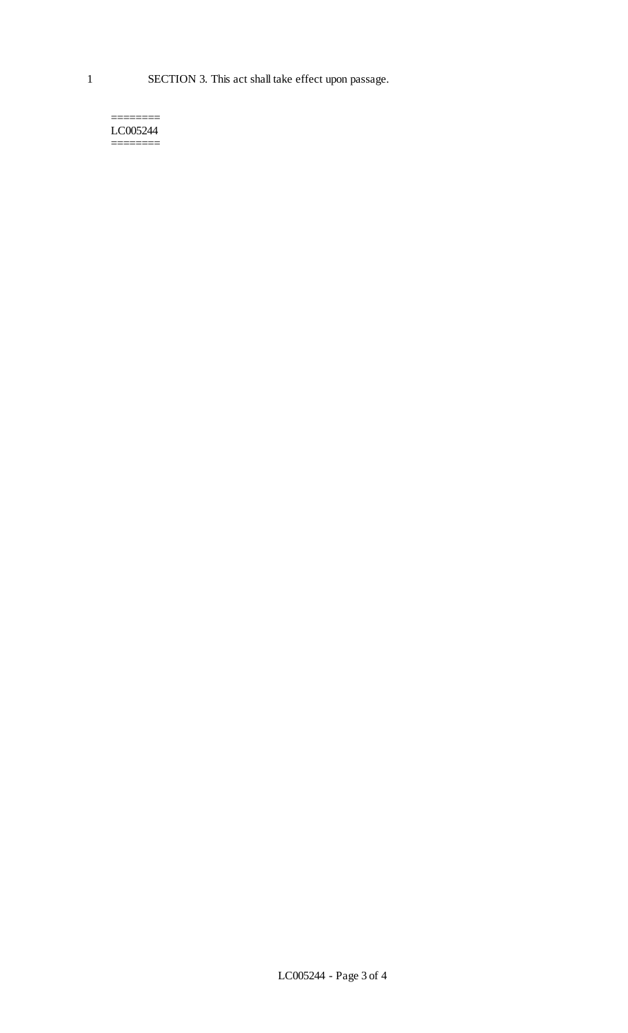1 SECTION 3. This act shall take effect upon passage.

======== LC005244 ========